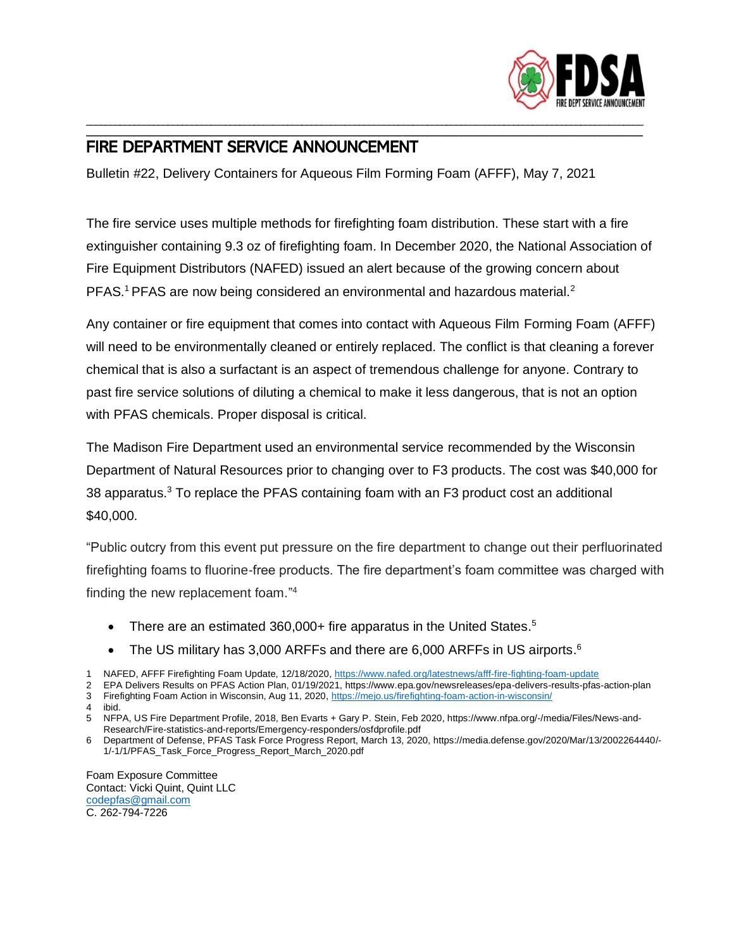

## FIRE DEPARTMENT SERVICE ANNOUNCEMENT

Bulletin #22, Delivery Containers for Aqueous Film Forming Foam (AFFF), May 7, 2021

The fire service uses multiple methods for firefighting foam distribution. These start with a fire extinguisher containing 9.3 oz of firefighting foam. In December 2020, the National Association of Fire Equipment Distributors (NAFED) issued an alert because of the growing concern about PFAS.<sup>1</sup> PFAS are now being considered an environmental and hazardous material.<sup>2</sup>

\_\_\_\_\_\_\_\_\_\_\_\_\_\_\_\_\_\_\_\_\_\_\_\_\_\_\_\_\_\_\_\_\_\_\_\_\_\_\_\_\_\_\_\_\_\_\_\_\_\_\_\_\_\_\_\_\_\_\_\_\_\_\_\_\_\_\_\_\_\_\_\_\_\_\_\_\_\_\_\_\_\_\_\_\_\_\_\_\_\_\_\_\_\_\_\_\_\_\_\_\_\_\_\_\_\_\_\_\_\_\_\_\_\_\_\_ \_\_\_\_\_\_\_\_\_\_\_\_\_\_\_\_\_\_\_\_\_\_\_\_\_\_\_\_\_\_\_\_\_\_\_\_\_\_\_\_\_\_\_\_\_\_\_\_\_\_\_\_\_\_\_\_\_\_\_\_\_\_\_\_\_\_\_\_\_\_\_\_\_\_\_\_\_\_\_\_\_\_\_\_\_\_\_\_\_\_\_\_\_\_\_\_\_\_\_\_\_\_\_\_\_\_\_\_\_\_\_\_\_\_\_\_

Any container or fire equipment that comes into contact with Aqueous Film Forming Foam (AFFF) will need to be environmentally cleaned or entirely replaced. The conflict is that cleaning a forever chemical that is also a surfactant is an aspect of tremendous challenge for anyone. Contrary to past fire service solutions of diluting a chemical to make it less dangerous, that is not an option with PFAS chemicals. Proper disposal is critical.

The Madison Fire Department used an environmental service recommended by the Wisconsin Department of Natural Resources prior to changing over to F3 products. The cost was \$40,000 for 38 apparatus.<sup>3</sup> To replace the PFAS containing foam with an F3 product cost an additional \$40,000.

"Public outcry from this event put pressure on the fire department to change out their perfluorinated firefighting foams to fluorine-free products. The fire department's foam committee was charged with finding the new replacement foam." 4

- There are an estimated 360,000+ fire apparatus in the United States.<sup>5</sup>
- The US military has 3,000 ARFFs and there are 6,000 ARFFs in US airports.<sup>6</sup>
- 1 NAFED, AFFF Firefighting Foam Update, 12/18/2020,<https://www.nafed.org/latestnews/afff-fire-fighting-foam-update>

2 EPA Delivers Results on PFAS Action Plan, 01/19/2021, https://www.epa.gov/newsreleases/epa-delivers-results-pfas-action-plan 3 Firefighting Foam Action in Wisconsin, Aug 11, 2020[, https://mejo.us/firefighting-foam-action-in-wisconsin/](https://mejo.us/firefighting-foam-action-in-wisconsin/)

4 ibid.

5 NFPA, US Fire Department Profile, 2018, Ben Evarts + Gary P. Stein, Feb 2020, https://www.nfpa.org/-/media/Files/News-and-Research/Fire-statistics-and-reports/Emergency-responders/osfdprofile.pdf

6 Department of Defense, PFAS Task Force Progress Report, March 13, 2020, https://media.defense.gov/2020/Mar/13/2002264440/- 1/-1/1/PFAS\_Task\_Force\_Progress\_Report\_March\_2020.pdf

Foam Exposure Committee Contact: Vicki Quint, Quint LLC [codepfas@gmail.com](mailto:codepfas@gmail.com) C. 262-794-7226